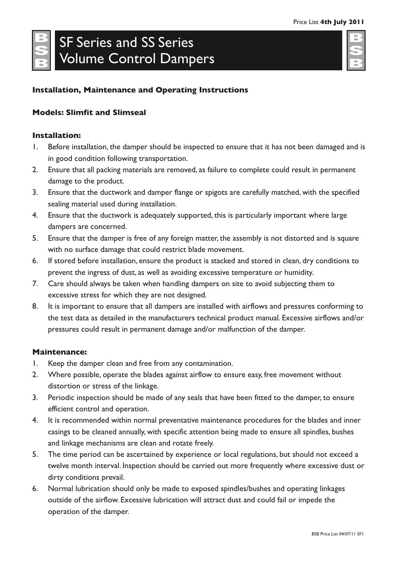# SF Series and SS Series Volume Control Dampers

# **Installation, Maintenance and Operating Instructions**

## **Models: Slimfit and Slimseal**

### **Installation:**

- 1. Before installation, the damper should be inspected to ensure that it has not been damaged and is in good condition following transportation.
- 2. Ensure that all packing materials are removed, as failure to complete could result in permanent damage to the product.
- 3. Ensure that the ductwork and damper flange or spigots are carefully matched, with the specified sealing material used during installation.
- 4. Ensure that the ductwork is adequately supported, this is particularly important where large dampers are concerned.
- 5. Ensure that the damper is free of any foreign matter, the assembly is not distorted and is square with no surface damage that could restrict blade movement.
- 6. If stored before installation, ensure the product is stacked and stored in clean, dry conditions to prevent the ingress of dust, as well as avoiding excessive temperature or humidity.
- 7. Care should always be taken when handling dampers on site to avoid subjecting them to excessive stress for which they are not designed.
- 8. It is important to ensure that all dampers are installed with airflows and pressures conforming to the test data as detailed in the manufacturers technical product manual. Excessive airflows and/or pressures could result in permanent damage and/or malfunction of the damper.

### **Maintenance:**

- 1. Keep the damper clean and free from any contamination.
- 2. Where possible, operate the blades against airflow to ensure easy, free movement without distortion or stress of the linkage.
- 3. Periodic inspection should be made of any seals that have been fitted to the damper, to ensure efficient control and operation.
- 4. It is recommended within normal preventative maintenance procedures for the blades and inner casings to be cleaned annually, with specific attention being made to ensure all spindles, bushes and linkage mechanisms are clean and rotate freely.
- 5. The time period can be ascertained by experience or local regulations, but should not exceed a twelve month interval. Inspection should be carried out more frequently where excessive dust or dirty conditions prevail.
- 6. Normal lubrication should only be made to exposed spindles/bushes and operating linkages outside of the airflow. Excessive lubrication will attract dust and could fail or impede the operation of the damper.